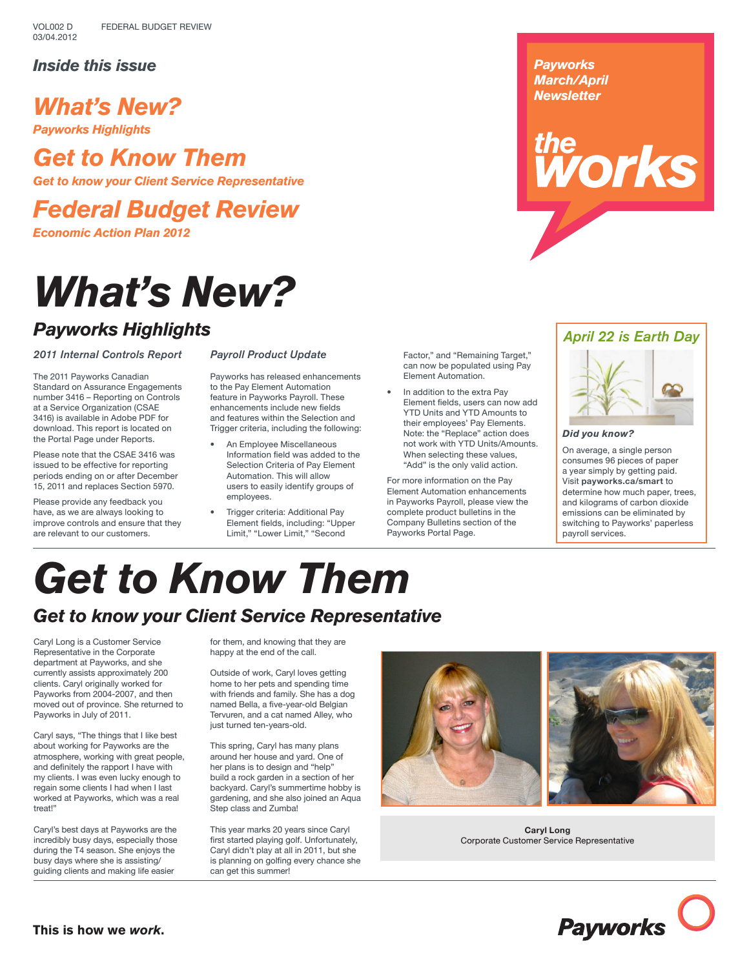## *Inside this issue*

# *What's New?*

*Payworks Highlights*

# *Get to Know Them*

*Get to know your Client Service Representative*

*Federal Budget Review*

*Economic Action Plan 2012*

# *What's New?*

## *Payworks Highlights*

*2011 Internal Controls Report*

The 2011 Payworks Canadian Standard on Assurance Engagements number 3416 – Reporting on Controls at a Service Organization (CSAE 3416) is available in Adobe PDF for download. This report is located on the Portal Page under Reports.

Please note that the CSAE 3416 was issued to be effective for reporting periods ending on or after December 15, 2011 and replaces Section 5970.

Please provide any feedback you have, as we are always looking to improve controls and ensure that they are relevant to our customers.

#### *Payroll Product Update*

Payworks has released enhancements to the Pay Element Automation feature in Payworks Payroll. These enhancements include new fields and features within the Selection and Trigger criteria, including the following:

- An Employee Miscellaneous Information field was added to the Selection Criteria of Pay Element Automation. This will allow users to easily identify groups of employees.
- Trigger criteria: Additional Pay Element fields, including: "Upper Limit," "Lower Limit," "Second

Factor," and "Remaining Target," can now be populated using Pay Element Automation.

In addition to the extra Pay Element fields, users can now add YTD Units and YTD Amounts to their employees' Pay Elements. Note: the "Replace" action does not work with YTD Units/Amounts. When selecting these values, "Add" is the only valid action.

For more information on the Pay Element Automation enhancements in Payworks Payroll, please view the complete product bulletins in the Company Bulletins section of the Payworks Portal Page.



# the<br>**WOrks**

### *April 22 is Earth Day*



*Did you know?* 

On average, a single person consumes 96 pieces of paper a year simply by getting paid. Visit **payworks.ca/smart** to determine how much paper, trees, and kilograms of carbon dioxide emissions can be eliminated by switching to Payworks' paperless payroll services.

# *Get to Know Them Get to know your Client Service Representative*

Caryl Long is a Customer Service Representative in the Corporate department at Payworks, and she currently assists approximately 200 clients. Caryl originally worked for Payworks from 2004-2007, and then moved out of province. She returned to Payworks in July of 2011.

Caryl says, "The things that I like best about working for Payworks are the atmosphere, working with great people, and definitely the rapport I have with my clients. I was even lucky enough to regain some clients I had when I last worked at Payworks, which was a real treat!"

Caryl's best days at Payworks are the incredibly busy days, especially those during the T4 season. She enjoys the busy days where she is assisting/ guiding clients and making life easier

for them, and knowing that they are happy at the end of the call.

Outside of work, Caryl loves getting home to her pets and spending time with friends and family. She has a dog named Bella, a five-year-old Belgian Tervuren, and a cat named Alley, who just turned ten-years-old.

This spring, Caryl has many plans around her house and yard. One of her plans is to design and "help" build a rock garden in a section of her backyard. Caryl's summertime hobby is gardening, and she also joined an Aqua Step class and Zumba!

This year marks 20 years since Caryl first started playing golf. Unfortunately, Caryl didn't play at all in 2011, but she is planning on golfing every chance she can get this summer!





**Caryl Long** Corporate Customer Service Representative